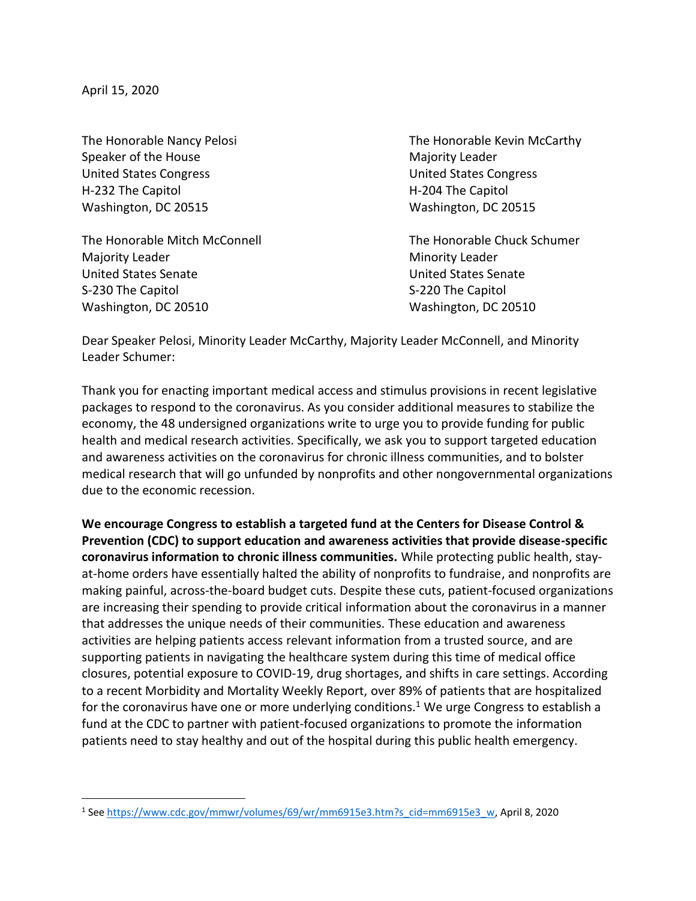April 15, 2020

 $\overline{a}$ 

Speaker of the House Majority Leader United States Congress United States Congress H-232 The Capitol **H-204 The Capitol** H-204 The Capitol Washington, DC 20515 Washington, DC 20515

The Honorable Mitch McConnell The Honorable Chuck Schumer Majority Leader **Minority Leader** Minority Leader United States Senate United States Senate S-230 The Capitol S-220 The Capitol S-220 The Capitol Washington, DC 20510 Washington, DC 20510

The Honorable Nancy Pelosi **The Honorable Kevin McCarthy** 

Dear Speaker Pelosi, Minority Leader McCarthy, Majority Leader McConnell, and Minority Leader Schumer:

Thank you for enacting important medical access and stimulus provisions in recent legislative packages to respond to the coronavirus. As you consider additional measures to stabilize the economy, the 48 undersigned organizations write to urge you to provide funding for public health and medical research activities. Specifically, we ask you to support targeted education and awareness activities on the coronavirus for chronic illness communities, and to bolster medical research that will go unfunded by nonprofits and other nongovernmental organizations due to the economic recession.

**We encourage Congress to establish a targeted fund at the Centers for Disease Control & Prevention (CDC) to support education and awareness activities that provide disease-specific coronavirus information to chronic illness communities.** While protecting public health, stayat-home orders have essentially halted the ability of nonprofits to fundraise, and nonprofits are making painful, across-the-board budget cuts. Despite these cuts, patient-focused organizations are increasing their spending to provide critical information about the coronavirus in a manner that addresses the unique needs of their communities. These education and awareness activities are helping patients access relevant information from a trusted source, and are supporting patients in navigating the healthcare system during this time of medical office closures, potential exposure to COVID-19, drug shortages, and shifts in care settings. According to a recent Morbidity and Mortality Weekly Report, over 89% of patients that are hospitalized for the coronavirus have one or more underlying conditions.<sup>1</sup> We urge Congress to establish a fund at the CDC to partner with patient-focused organizations to promote the information patients need to stay healthy and out of the hospital during this public health emergency.

<sup>1</sup> See [https://www.cdc.gov/mmwr/volumes/69/wr/mm6915e3.htm?s\\_cid=mm6915e3\\_w,](https://www.cdc.gov/mmwr/volumes/69/wr/mm6915e3.htm?s_cid=mm6915e3_w) April 8, 2020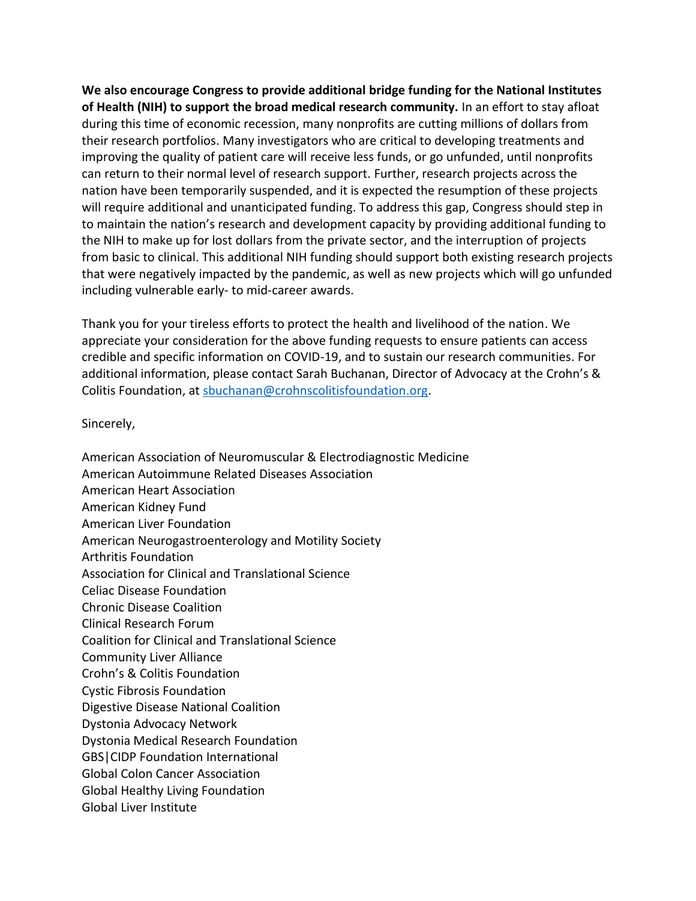**We also encourage Congress to provide additional bridge funding for the National Institutes of Health (NIH) to support the broad medical research community.** In an effort to stay afloat during this time of economic recession, many nonprofits are cutting millions of dollars from their research portfolios. Many investigators who are critical to developing treatments and improving the quality of patient care will receive less funds, or go unfunded, until nonprofits can return to their normal level of research support. Further, research projects across the nation have been temporarily suspended, and it is expected the resumption of these projects will require additional and unanticipated funding. To address this gap, Congress should step in to maintain the nation's research and development capacity by providing additional funding to the NIH to make up for lost dollars from the private sector, and the interruption of projects from basic to clinical. This additional NIH funding should support both existing research projects that were negatively impacted by the pandemic, as well as new projects which will go unfunded including vulnerable early- to mid-career awards.

Thank you for your tireless efforts to protect the health and livelihood of the nation. We appreciate your consideration for the above funding requests to ensure patients can access credible and specific information on COVID-19, and to sustain our research communities. For additional information, please contact Sarah Buchanan, Director of Advocacy at the Crohn's & Colitis Foundation, at [sbuchanan@crohnscolitisfoundation.org.](mailto:sbuchanan@crohnscolitisfoundation.org)

Sincerely,

American Association of Neuromuscular & Electrodiagnostic Medicine American Autoimmune Related Diseases Association American Heart Association American Kidney Fund American Liver Foundation American Neurogastroenterology and Motility Society Arthritis Foundation Association for Clinical and Translational Science Celiac Disease Foundation Chronic Disease Coalition Clinical Research Forum Coalition for Clinical and Translational Science Community Liver Alliance Crohn's & Colitis Foundation Cystic Fibrosis Foundation Digestive Disease National Coalition Dystonia Advocacy Network Dystonia Medical Research Foundation GBS|CIDP Foundation International Global Colon Cancer Association Global Healthy Living Foundation Global Liver Institute